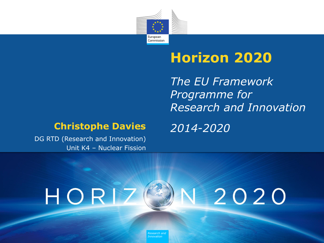

# **Horizon 2020**

*The EU Framework Programme for Research and Innovation*

#### **Christophe Davies** *2014-2020*

DG RTD (Research and Innovation) Unit K4 – Nuclear Fission

## HORIZ V 2020

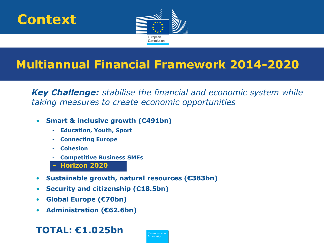



## **Multiannual Financial Framework 2014-2020**

• *Key Challenge: stabilise the financial and economic system while taking measures to create economic opportunities*

- **Smart & inclusive growth (€491bn)**
	- **Education, Youth, Sport**
	- **Connecting Europe**
	- **Cohesion**
	- **Competitive Business SMEs**
	- **Horizon 2020**
- **Sustainable growth, natural resources (€383bn)**
- **Security and citizenship (€18.5bn)**
- **Global Europe (€70bn)**
- **Administration (€62.6bn)**

### **TOTAL: €1.025bn**

*Policy Research and Innovation*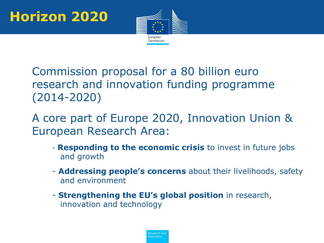

- Commission proposal for a 80 billion euro research and innovation funding programme (2014-2020)
- A core part of Europe 2020, Innovation Union & European Research Area:
	- **Responding to the economic crisis** to invest in future jobs and growth
	- **Addressing people's concerns** about their livelihoods, safety and environment
	- **Strengthening the EU's global position** in research, innovation and technology

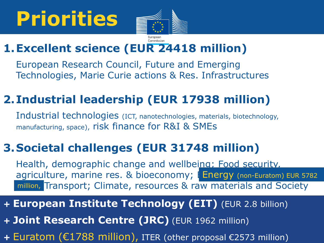# **Priorities**



## **1.Excellent science (EUR 24418 million)**

European Research Council, Future and Emerging Technologies, Marie Curie actions & Res. Infrastructures

## **2.Industrial leadership (EUR 17938 million)**

Industrial technologies (ICT, nanotechnologies, materials, biotechnology, manufacturing, space), risk finance for R&I & SMEs

## **3.Societal challenges (EUR 31748 million)**

Health, demographic change and wellbeing; Food security, agriculture, marine res. & bioeconomy; Finergy (non-Euratom) EUR 5782 million, Transport; Climate, resources & raw materials and Society

### *+* **European Institute Technology (EIT)** (EUR 2.8 billion)

*+* **Joint Research Centre (JRC)** (EUR 1962 million)

+ Euratom (€1788 million), ITER (other proposal €2573 million)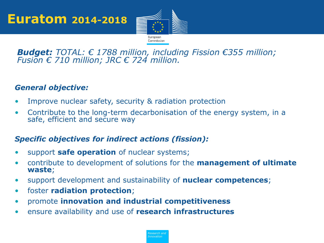

#### *Budget: TOTAL: € 1788 million, including Fission €355 million; Fusion € 710 million; JRC € 724 million.*

#### *General objective:*

- Improve nuclear safety, security & radiation protection
- Contribute to the long-term decarbonisation of the energy system, in a safe, efficient and secure way

#### *Specific objectives for indirect actions (fission):*

- support **safe operation** of nuclear systems;
- contribute to development of solutions for the **management of ultimate waste**;
- support development and sustainability of **nuclear competences**;
- foster **radiation protection**;
- promote **innovation and industrial competitiveness**
- ensure availability and use of **research infrastructures**

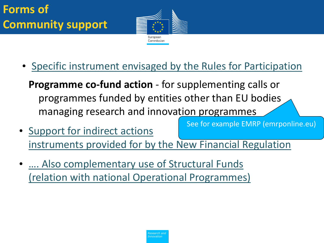

• Specific instrument envisaged by the Rules for Participation

**Programme co-fund action** - for supplementing calls or programmes funded by entities other than EU bodies managing research and innovation programmes

- Support for indirect actions instruments provided for by the New Financial Regulation See for example EMRP (emrponline.eu)
- .... Also complementary use of Structural Funds (relation with national Operational Programmes)

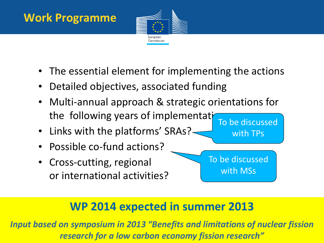## **Work Programme**



- The essential element for implementing the actions
- Detailed objectives, associated funding
- Multi-annual approach & strategic orientations for the following years of implementation
- Links with the platforms' SRAs?-
- Possible co-fund actions?
- Cross-cutting, regional or international activities?

To be discussed with TPs

To be discussed with MSs

## **WP 2014 expected in summer 2013**

*Policy Research and Innovation research for a low carbon economy fission research"Input based on symposium in 2013 "Benefits and limitations of nuclear fission*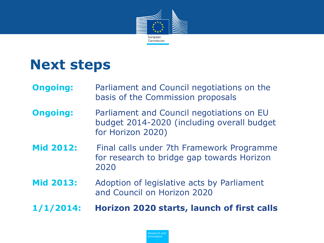

# **Next steps**

- **Ongoing:** Parliament and Council negotiations on the basis of the Commission proposals
- **Ongoing:** Parliament and Council negotiations on EU budget 2014-2020 (including overall budget for Horizon 2020)
- **Mid 2012:** Final calls under 7th Framework Programme for research to bridge gap towards Horizon 2020
- **Mid 2013:** Adoption of legislative acts by Parliament and Council on Horizon 2020
- **1/1/2014: Horizon 2020 starts, launch of first calls**

*Policy Research and Innovation*